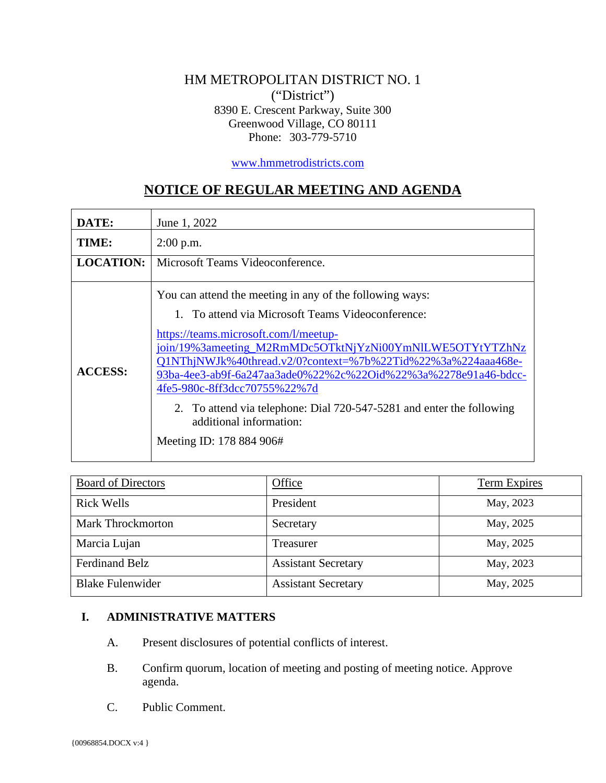#### HM METROPOLITAN DISTRICT NO. 1 ("District") 8390 E. Crescent Parkway, Suite 300 Greenwood Village, CO 80111 Phone: 303-779-5710

[www.hmmetrodistricts.com](http://www.hmmetrodistricts.com/)

# **NOTICE OF REGULAR MEETING AND AGENDA**

| DATE:            | June 1, 2022                                                                                                                                                                                                                                                                                                                                                                                                                                                                                                         |
|------------------|----------------------------------------------------------------------------------------------------------------------------------------------------------------------------------------------------------------------------------------------------------------------------------------------------------------------------------------------------------------------------------------------------------------------------------------------------------------------------------------------------------------------|
| TIME:            | $2:00$ p.m.                                                                                                                                                                                                                                                                                                                                                                                                                                                                                                          |
| <b>LOCATION:</b> | Microsoft Teams Videoconference.                                                                                                                                                                                                                                                                                                                                                                                                                                                                                     |
| <b>ACCESS:</b>   | You can attend the meeting in any of the following ways:<br>1. To attend via Microsoft Teams Videoconference:<br>https://teams.microsoft.com/l/meetup-<br>join/19%3ameeting_M2RmMDc5OTktNjYzNi00YmNlLWE5OTYtYTZhNz<br>Q1NThjNWJk%40thread.v2/0?context=%7b%22Tid%22%3a%224aaa468e-<br>93ba-4ee3-ab9f-6a247aa3ade0%22%2c%22Oid%22%3a%2278e91a46-bdcc-<br>4fe5-980c-8ff3dcc70755%22%7d<br>2. To attend via telephone: Dial 720-547-5281 and enter the following<br>additional information:<br>Meeting ID: 178 884 906# |

| <b>Board of Directors</b> | <b>Office</b>              | <b>Term Expires</b> |
|---------------------------|----------------------------|---------------------|
| <b>Rick Wells</b>         | President                  | May, 2023           |
| <b>Mark Throckmorton</b>  | Secretary                  | May, 2025           |
| Marcia Lujan              | Treasurer                  | May, 2025           |
| <b>Ferdinand Belz</b>     | <b>Assistant Secretary</b> | May, 2023           |
| <b>Blake Fulenwider</b>   | <b>Assistant Secretary</b> | May, 2025           |

#### **I. ADMINISTRATIVE MATTERS**

- A. Present disclosures of potential conflicts of interest.
- B. Confirm quorum, location of meeting and posting of meeting notice. Approve agenda.
- C. Public Comment.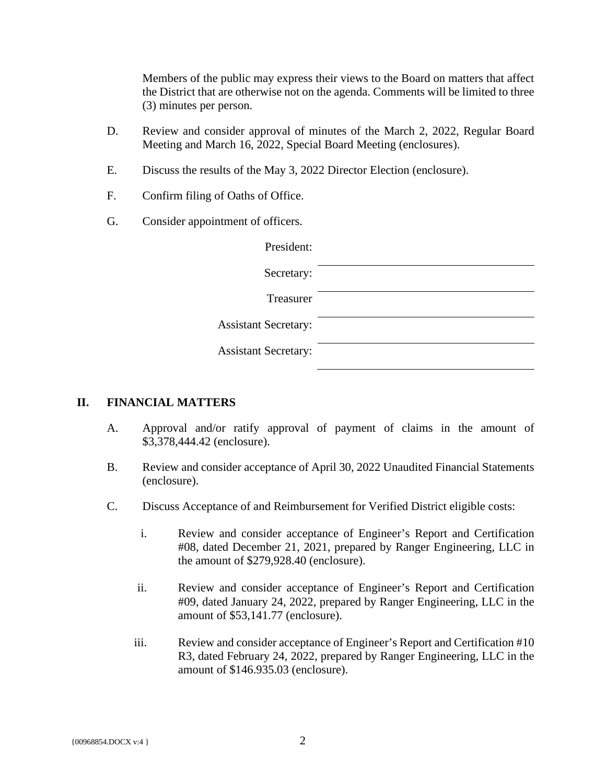Members of the public may express their views to the Board on matters that affect the District that are otherwise not on the agenda. Comments will be limited to three (3) minutes per person.

- D. Review and consider approval of minutes of the March 2, 2022, Regular Board Meeting and March 16, 2022, Special Board Meeting (enclosures).
- E. Discuss the results of the May 3, 2022 Director Election (enclosure).
- F. Confirm filing of Oaths of Office.
- G. Consider appointment of officers.

| President:                  |  |
|-----------------------------|--|
| Secretary:                  |  |
| Treasurer                   |  |
| <b>Assistant Secretary:</b> |  |
| <b>Assistant Secretary:</b> |  |
|                             |  |

#### **II. FINANCIAL MATTERS**

- A. Approval and/or ratify approval of payment of claims in the amount of \$3,378,444.42 (enclosure).
- B. Review and consider acceptance of April 30, 2022 Unaudited Financial Statements (enclosure).
- C. Discuss Acceptance of and Reimbursement for Verified District eligible costs:
	- i. Review and consider acceptance of Engineer's Report and Certification #08, dated December 21, 2021, prepared by Ranger Engineering, LLC in the amount of \$279,928.40 (enclosure).
	- ii. Review and consider acceptance of Engineer's Report and Certification #09, dated January 24, 2022, prepared by Ranger Engineering, LLC in the amount of \$53,141.77 (enclosure).
	- iii. Review and consider acceptance of Engineer's Report and Certification #10 R3, dated February 24, 2022, prepared by Ranger Engineering, LLC in the amount of \$146.935.03 (enclosure).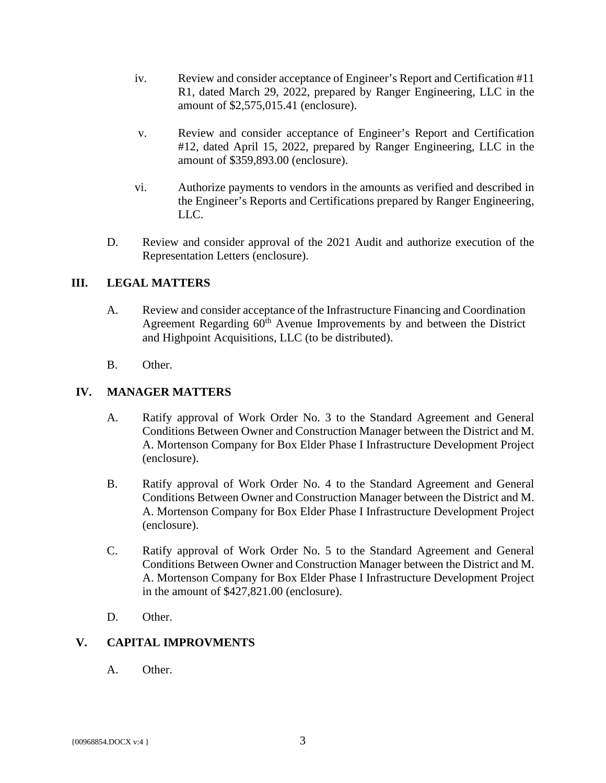- iv. Review and consider acceptance of Engineer's Report and Certification #11 R1, dated March 29, 2022, prepared by Ranger Engineering, LLC in the amount of \$2,575,015.41 (enclosure).
- v. Review and consider acceptance of Engineer's Report and Certification #12, dated April 15, 2022, prepared by Ranger Engineering, LLC in the amount of \$359,893.00 (enclosure).
- vi. Authorize payments to vendors in the amounts as verified and described in the Engineer's Reports and Certifications prepared by Ranger Engineering, LLC.
- D. Review and consider approval of the 2021 Audit and authorize execution of the Representation Letters (enclosure).

#### **III. LEGAL MATTERS**

- A. Review and consider acceptance of the Infrastructure Financing and Coordination Agreement Regarding  $60<sup>th</sup>$  Avenue Improvements by and between the District and Highpoint Acquisitions, LLC (to be distributed).
- B. Other.

#### **IV. MANAGER MATTERS**

- A. Ratify approval of Work Order No. 3 to the Standard Agreement and General Conditions Between Owner and Construction Manager between the District and M. A. Mortenson Company for Box Elder Phase I Infrastructure Development Project (enclosure).
- B. Ratify approval of Work Order No. 4 to the Standard Agreement and General Conditions Between Owner and Construction Manager between the District and M. A. Mortenson Company for Box Elder Phase I Infrastructure Development Project (enclosure).
- C. Ratify approval of Work Order No. 5 to the Standard Agreement and General Conditions Between Owner and Construction Manager between the District and M. A. Mortenson Company for Box Elder Phase I Infrastructure Development Project in the amount of \$427,821.00 (enclosure).
- D. Other.

### **V. CAPITAL IMPROVMENTS**

A. Other.